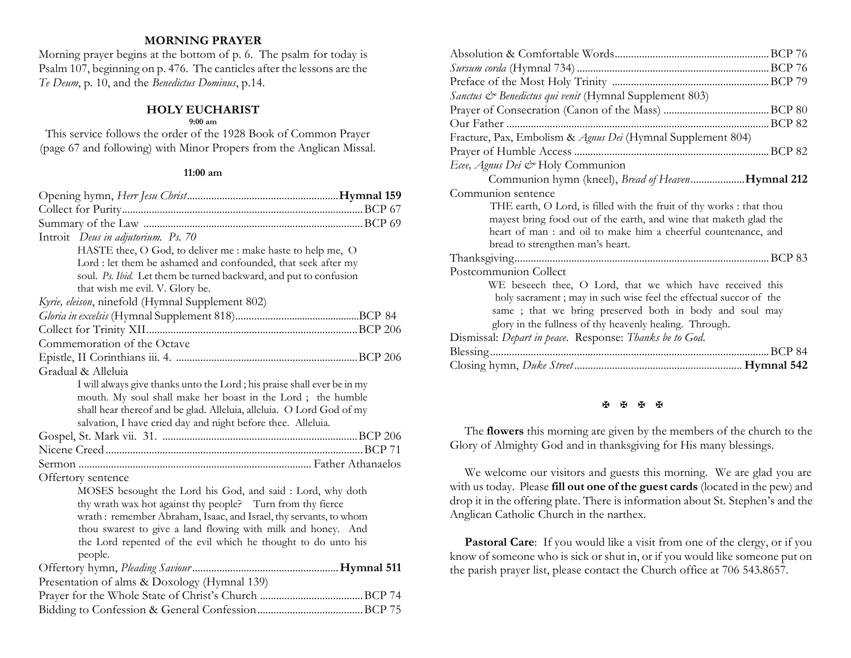## **MORNING PRAYER**

Morning prayer begins at the bottom of p. 6. The psalm for today is Psalm 107, beginning on p. 476. The canticles after the lessons are the *Te Deum*, p. 10, and the *Benedictus Dominus*, p.14.

## **HOLY EUCHARIST**

#### **9:00 am**

This service follows the order of the 1928 Book of Common Prayer (page 67 and following) with Minor Propers from the Anglican Missal.

#### **11:00 am**

| Introit Deus in adjutorium. Ps. 70                                                                                                                                                                                                                                                                                                        |            |
|-------------------------------------------------------------------------------------------------------------------------------------------------------------------------------------------------------------------------------------------------------------------------------------------------------------------------------------------|------------|
| HASTE thee, O God, to deliver me : make haste to help me, O                                                                                                                                                                                                                                                                               |            |
| Lord : let them be ashamed and confounded, that seek after my                                                                                                                                                                                                                                                                             |            |
| soul. Ps. Ibid. Let them be turned backward, and put to confusion                                                                                                                                                                                                                                                                         |            |
| that wish me evil. V. Glory be.                                                                                                                                                                                                                                                                                                           |            |
| Kyrie, eleison, ninefold (Hymnal Supplement 802)                                                                                                                                                                                                                                                                                          |            |
|                                                                                                                                                                                                                                                                                                                                           |            |
|                                                                                                                                                                                                                                                                                                                                           |            |
| Commemoration of the Octave                                                                                                                                                                                                                                                                                                               |            |
|                                                                                                                                                                                                                                                                                                                                           |            |
| Gradual & Alleluia                                                                                                                                                                                                                                                                                                                        |            |
| I will always give thanks unto the Lord; his praise shall ever be in my<br>mouth. My soul shall make her boast in the Lord; the humble<br>shall hear thereof and be glad. Alleluia, alleluia. O Lord God of my<br>salvation, I have cried day and night before thee. Alleluia.                                                            |            |
|                                                                                                                                                                                                                                                                                                                                           |            |
|                                                                                                                                                                                                                                                                                                                                           |            |
|                                                                                                                                                                                                                                                                                                                                           |            |
| Offertory sentence                                                                                                                                                                                                                                                                                                                        |            |
| MOSES besought the Lord his God, and said : Lord, why doth<br>thy wrath wax hot against thy people? Turn from thy fierce<br>wrath: remember Abraham, Isaac, and Israel, thy servants, to whom<br>thou swarest to give a land flowing with milk and honey. And<br>the Lord repented of the evil which he thought to do unto his<br>people. |            |
|                                                                                                                                                                                                                                                                                                                                           | Hymnal 511 |
| Presentation of alms & Doxology (Hymnal 139)                                                                                                                                                                                                                                                                                              |            |
|                                                                                                                                                                                                                                                                                                                                           |            |
|                                                                                                                                                                                                                                                                                                                                           |            |

| Fracture, Pax, Embolism & Agnus Dei (Hymnal Supplement 804)          |
|----------------------------------------------------------------------|
|                                                                      |
|                                                                      |
| Communion hymn (kneel), Bread of HeavenHymnal 212                    |
|                                                                      |
| THE earth, O Lord, is filled with the fruit of thy works : that thou |
| mayest bring food out of the earth, and wine that maketh glad the    |
| heart of man : and oil to make him a cheerful countenance, and       |
|                                                                      |
|                                                                      |
|                                                                      |
| WE beseech thee, O Lord, that we which have received this            |
| holy sacrament; may in such wise feel the effectual succor of the    |
| same; that we bring preserved both in body and soul may              |
| glory in the fullness of thy heavenly healing. Through.              |
|                                                                      |
|                                                                      |
|                                                                      |
|                                                                      |

#### **K K K K**

The **flowers** this morning are given by the members of the church to the Glory of Almighty God and in thanksgiving for His many blessings.

We welcome our visitors and guests this morning. We are glad you are with us today. Please **fill out one of the guest cards** (located in the pew) and drop it in the offering plate. There is information about St. Stephen's and the Anglican Catholic Church in the narthex.

**Pastoral Care:** If you would like a visit from one of the clergy, or if you know of someone who is sick or shut in, or if you would like someone put on the parish prayer list, please contact the Church office at 706 543.8657.